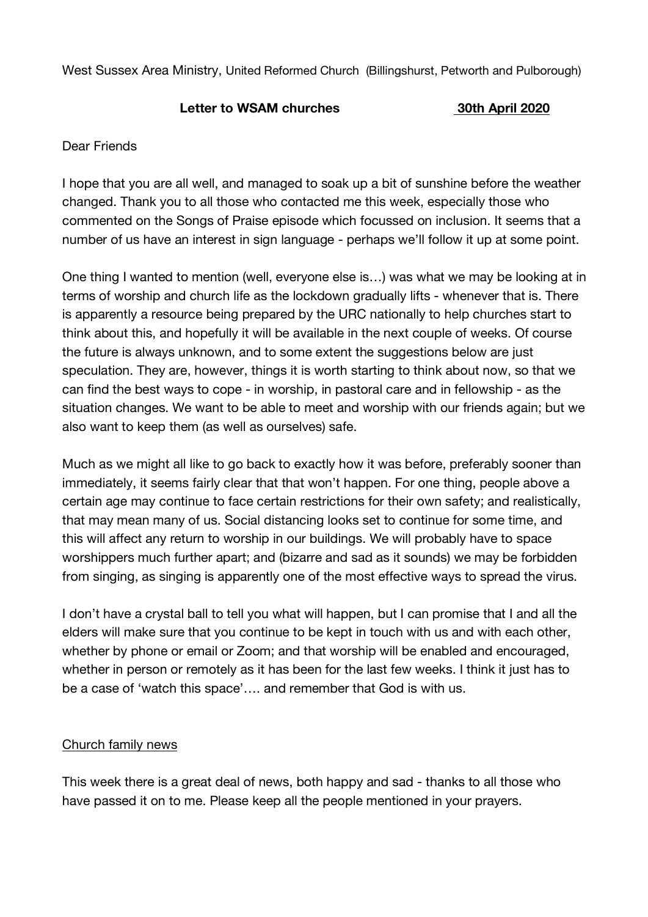West Sussex Area Ministry, United Reformed Church (Billingshurst, Petworth and Pulborough)

## **Letter to WSAM churches 30th April 2020**

## Dear Friends

I hope that you are all well, and managed to soak up a bit of sunshine before the weather changed. Thank you to all those who contacted me this week, especially those who commented on the Songs of Praise episode which focussed on inclusion. It seems that a number of us have an interest in sign language - perhaps we'll follow it up at some point.

One thing I wanted to mention (well, everyone else is…) was what we may be looking at in terms of worship and church life as the lockdown gradually lifts - whenever that is. There is apparently a resource being prepared by the URC nationally to help churches start to think about this, and hopefully it will be available in the next couple of weeks. Of course the future is always unknown, and to some extent the suggestions below are just speculation. They are, however, things it is worth starting to think about now, so that we can find the best ways to cope - in worship, in pastoral care and in fellowship - as the situation changes. We want to be able to meet and worship with our friends again; but we also want to keep them (as well as ourselves) safe.

Much as we might all like to go back to exactly how it was before, preferably sooner than immediately, it seems fairly clear that that won't happen. For one thing, people above a certain age may continue to face certain restrictions for their own safety; and realistically, that may mean many of us. Social distancing looks set to continue for some time, and this will affect any return to worship in our buildings. We will probably have to space worshippers much further apart; and (bizarre and sad as it sounds) we may be forbidden from singing, as singing is apparently one of the most effective ways to spread the virus.

I don't have a crystal ball to tell you what will happen, but I can promise that I and all the elders will make sure that you continue to be kept in touch with us and with each other, whether by phone or email or Zoom; and that worship will be enabled and encouraged, whether in person or remotely as it has been for the last few weeks. I think it just has to be a case of 'watch this space'…. and remember that God is with us.

## Church family news

This week there is a great deal of news, both happy and sad - thanks to all those who have passed it on to me. Please keep all the people mentioned in your prayers.